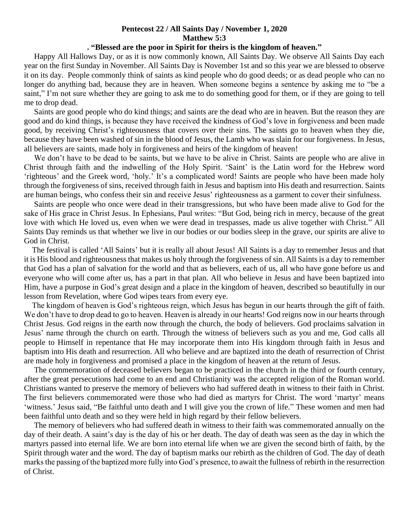## **Pentecost 22 / All Saints Day / November 1, 2020 Matthew 5:3**

## **. "Blessed are the poor in Spirit for theirs is the kingdom of heaven."**

 Happy All Hallows Day, or as it is now commonly known, All Saints Day. We observe All Saints Day each year on the first Sunday in November. All Saints Day is November 1st and so this year we are blessed to observe it on its day. People commonly think of saints as kind people who do good deeds; or as dead people who can no longer do anything bad, because they are in heaven. When someone begins a sentence by asking me to "be a saint," I'm not sure whether they are going to ask me to do something good for them, or if they are going to tell me to drop dead.

 Saints are good people who do kind things; and saints are the dead who are in heaven. But the reason they are good and do kind things, is because they have received the kindness of God's love in forgiveness and been made good, by receiving Christ's righteousness that covers over their sins. The saints go to heaven when they die, because they have been washed of sin in the blood of Jesus, the Lamb who was slain for our forgiveness. In Jesus, all believers are saints, made holy in forgiveness and heirs of the kingdom of heaven!

We don't have to be dead to be saints, but we have to be alive in Christ. Saints are people who are alive in Christ through faith and the indwelling of the Holy Spirit. 'Saint' is the Latin word for the Hebrew word 'righteous' and the Greek word, 'holy.' It's a complicated word! Saints are people who have been made holy through the forgiveness of sins, received through faith in Jesus and baptism into His death and resurrection. Saints are human beings, who confess their sin and receive Jesus' righteousness as a garment to cover their sinfulness.

 Saints are people who once were dead in their transgressions, but who have been made alive to God for the sake of His grace in Christ Jesus. In Ephesians, Paul writes: "But God, being rich in mercy, because of the great love with which He loved us, even when we were dead in trespasses, made us alive together with Christ." All Saints Day reminds us that whether we live in our bodies or our bodies sleep in the grave, our spirits are alive to God in Christ.

 The festival is called 'All Saints' but it is really all about Jesus! All Saints is a day to remember Jesus and that it is His blood and righteousness that makes us holy through the forgiveness of sin. All Saints is a day to remember that God has a plan of salvation for the world and that as believers, each of us, all who have gone before us and everyone who will come after us, has a part in that plan. All who believe in Jesus and have been baptized into Him, have a purpose in God's great design and a place in the kingdom of heaven, described so beautifully in our lesson from Revelation, where God wipes tears from every eye.

 The kingdom of heaven is God's righteous reign, which Jesus has begun in our hearts through the gift of faith. We don't have to drop dead to go to heaven. Heaven is already in our hearts! God reigns now in our hearts through Christ Jesus. God reigns in the earth now through the church, the body of believers. God proclaims salvation in Jesus' name through the church on earth. Through the witness of believers such as you and me, God calls all people to Himself in repentance that He may incorporate them into His kingdom through faith in Jesus and baptism into His death and resurrection. All who believe and are baptized into the death of resurrection of Christ are made holy in forgiveness and promised a place in the kingdom of heaven at the return of Jesus.

 The commemoration of deceased believers began to be practiced in the church in the third or fourth century, after the great persecutions had come to an end and Christianity was the accepted religion of the Roman world. Christians wanted to preserve the memory of believers who had suffered death in witness to their faith in Christ. The first believers commemorated were those who had died as martyrs for Christ. The word 'martyr' means 'witness.' Jesus said, "Be faithful unto death and I will give you the crown of life." These women and men had been faithful unto death and so they were held in high regard by their fellow believers.

 The memory of believers who had suffered death in witness to their faith was commemorated annually on the day of their death. A saint's day is the day of his or her death. The day of death was seen as the day in which the martyrs passed into eternal life. We are born into eternal life when we are given the second birth of faith, by the Spirit through water and the word. The day of baptism marks our rebirth as the children of God. The day of death marks the passing of the baptized more fully into God's presence, to await the fullness of rebirth in the resurrection of Christ.